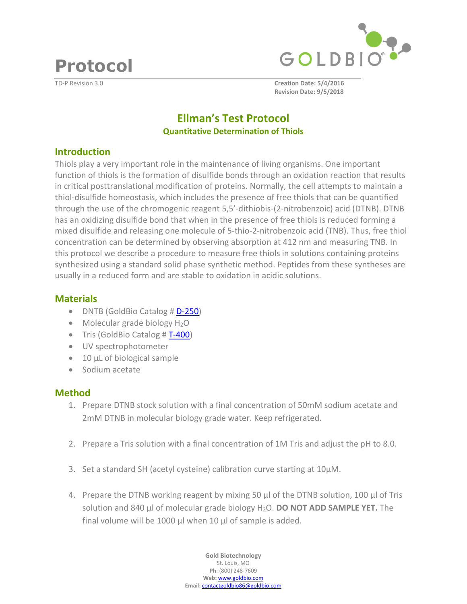**Protocol** 





TD-P Revision 3.0 **Creation Date: 5/4/2016 Revision Date: 9/5/2018**

# **Ellman's Test Protocol Quantitative Determination of Thiols**

### **Introduction**

Thiols play a very important role in the maintenance of living organisms. One important function of thiols is the formation of disulfide bonds through an oxidation reaction that results in critical posttranslational modification of proteins. Normally, the cell attempts to maintain a thiol-disulfide homeostasis, which includes the presence of free thiols that can be quantified through the use of the chromogenic reagent 5,5'-dithiobis-(2-nitrobenzoic) acid (DTNB). DTNB has an oxidizing disulfide bond that when in the presence of free thiols is reduced forming a mixed disulfide and releasing one molecule of 5-thio-2-nitrobenzoic acid (TNB). Thus, free thiol concentration can be determined by observing absorption at 412 nm and measuring TNB. In this protocol we describe a procedure to measure free thiols in solutions containing proteins synthesized using a standard solid phase synthetic method. Peptides from these syntheses are usually in a reduced form and are stable to oxidation in acidic solutions.

## **Materials**

- DNTB (GoldBio Catalog # [D-250](https://www.goldbio.com/product/1199/dtnb-ellmans-reagent))
- $\bullet$  Molecular grade biology  $H_2O$
- $\bullet$  Tris (GoldBio Catalog #T-400)
- UV spectrophotometer
- 10 µL of biological sample
- Sodium acetate

## **Method**

- 1. Prepare DTNB stock solution with a final concentration of 50mM sodium acetate and 2mM DTNB in molecular biology grade water. Keep refrigerated.
- 2. Prepare a Tris solution with a final concentration of 1M Tris and adjust the pH to 8.0.
- 3. Set a standard SH (acetyl cysteine) calibration curve starting at 10µM.
- 4. Prepare the DTNB working reagent by mixing 50 µl of the DTNB solution, 100 µl of Tris solution and 840 µl of molecular grade biology H2O. **DO NOT ADD SAMPLE YET.** The final volume will be 1000 µl when 10 µl of sample is added.

**Gold Biotechnology**  St. Louis, MO **Ph**: (800) 248-7609 **Web:** www.goldbio.com **Email:** contactgoldbio86@goldbio.com